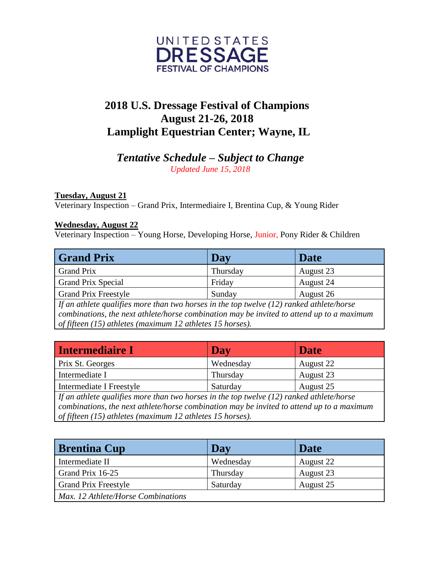

## **2018 U.S. Dressage Festival of Champions August 21-26, 2018 Lamplight Equestrian Center; Wayne, IL**

## *Tentative Schedule – Subject to Change Updated June 15, 2018*

## **Tuesday, August 21**

Veterinary Inspection – Grand Prix, Intermediaire I, Brentina Cup, & Young Rider

## **Wednesday, August 22**

Veterinary Inspection – Young Horse, Developing Horse, Junior, Pony Rider & Children

| <b>Grand Prix</b>                                                                          | Day      | Date      |  |
|--------------------------------------------------------------------------------------------|----------|-----------|--|
| <b>Grand Prix</b>                                                                          | Thursday | August 23 |  |
| <b>Grand Prix Special</b>                                                                  | Friday   | August 24 |  |
| <b>Grand Prix Freestyle</b>                                                                | Sunday   | August 26 |  |
| If an athlete qualifies more than two horses in the top twelve $(12)$ ranked athlete/horse |          |           |  |
| combinations, the next athlete/horse combination may be invited to attend up to a maximum  |          |           |  |
| of fifteen (15) athletes (maximum 12 athletes 15 horses).                                  |          |           |  |

| Intermediaire I                                                                            | <b>Day</b> | <b>Date</b> |  |
|--------------------------------------------------------------------------------------------|------------|-------------|--|
| Prix St. Georges                                                                           | Wednesday  | August 22   |  |
| Intermediate I                                                                             | Thursday   | August 23   |  |
| Intermediate I Freestyle                                                                   | Saturday   | August 25   |  |
| If an athlete qualifies more than two horses in the top twelve $(12)$ ranked athlete/horse |            |             |  |
| combinations, the next athlete/horse combination may be invited to attend up to a maximum  |            |             |  |
| of fifteen $(15)$ athletes (maximum 12 athletes 15 horses).                                |            |             |  |

| <b>Brentina Cup</b>                | Day       | Date      |
|------------------------------------|-----------|-----------|
| Intermediate II                    | Wednesday | August 22 |
| Grand Prix 16-25                   | Thursday  | August 23 |
| <b>Grand Prix Freestyle</b>        | Saturday  | August 25 |
| Max. 12 Athlete/Horse Combinations |           |           |